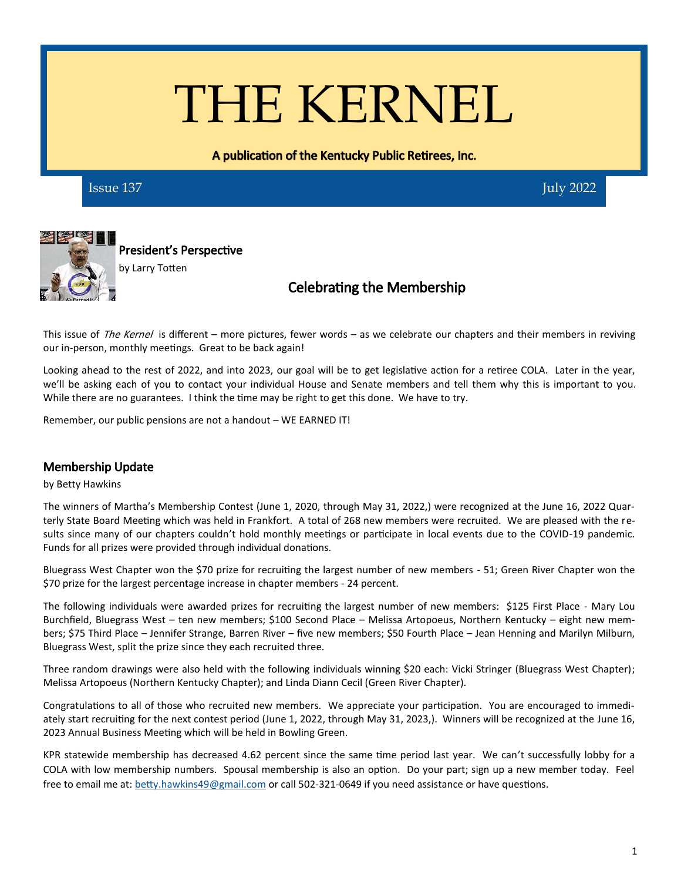# THE KERNEL

A publication of the Kentucky Public Retirees, Inc.

**Issue 137** July 2022



President's Perspective by Larry Totten

# Celebrating the Membership

This issue of The Kernel is different – more pictures, fewer words – as we celebrate our chapters and their members in reviving our in-person, monthly meetings. Great to be back again!

Looking ahead to the rest of 2022, and into 2023, our goal will be to get legislative action for a retiree COLA. Later in the year, we'll be asking each of you to contact your individual House and Senate members and tell them why this is important to you. While there are no guarantees. I think the time may be right to get this done. We have to try.

Remember, our public pensions are not a handout – WE EARNED IT!

### Membership Update

#### by Betty Hawkins

The winners of Martha's Membership Contest (June 1, 2020, through May 31, 2022,) were recognized at the June 16, 2022 Quarterly State Board Meeting which was held in Frankfort. A total of 268 new members were recruited. We are pleased with the results since many of our chapters couldn't hold monthly meetings or participate in local events due to the COVID-19 pandemic. Funds for all prizes were provided through individual donations.

Bluegrass West Chapter won the \$70 prize for recruiting the largest number of new members - 51; Green River Chapter won the \$70 prize for the largest percentage increase in chapter members - 24 percent.

The following individuals were awarded prizes for recruiting the largest number of new members: \$125 First Place - Mary Lou Burchfield, Bluegrass West – ten new members; \$100 Second Place – Melissa Artopoeus, Northern Kentucky – eight new members; \$75 Third Place – Jennifer Strange, Barren River – five new members; \$50 Fourth Place – Jean Henning and Marilyn Milburn, Bluegrass West, split the prize since they each recruited three.

Three random drawings were also held with the following individuals winning \$20 each: Vicki Stringer (Bluegrass West Chapter); Melissa Artopoeus (Northern Kentucky Chapter); and Linda Diann Cecil (Green River Chapter).

Congratulations to all of those who recruited new members. We appreciate your participation. You are encouraged to immediately start recruiting for the next contest period (June 1, 2022, through May 31, 2023,). Winners will be recognized at the June 16, 2023 Annual Business Meeting which will be held in Bowling Green.

KPR statewide membership has decreased 4.62 percent since the same time period last year. We can't successfully lobby for a COLA with low membership numbers. Spousal membership is also an option. Do your part; sign up a new member today. Feel free to email me at: [betty.hawkins49@gmail.com](mailto:bertty.hawkins49@gmail.com) or call 502-321-0649 if you need assistance or have questions.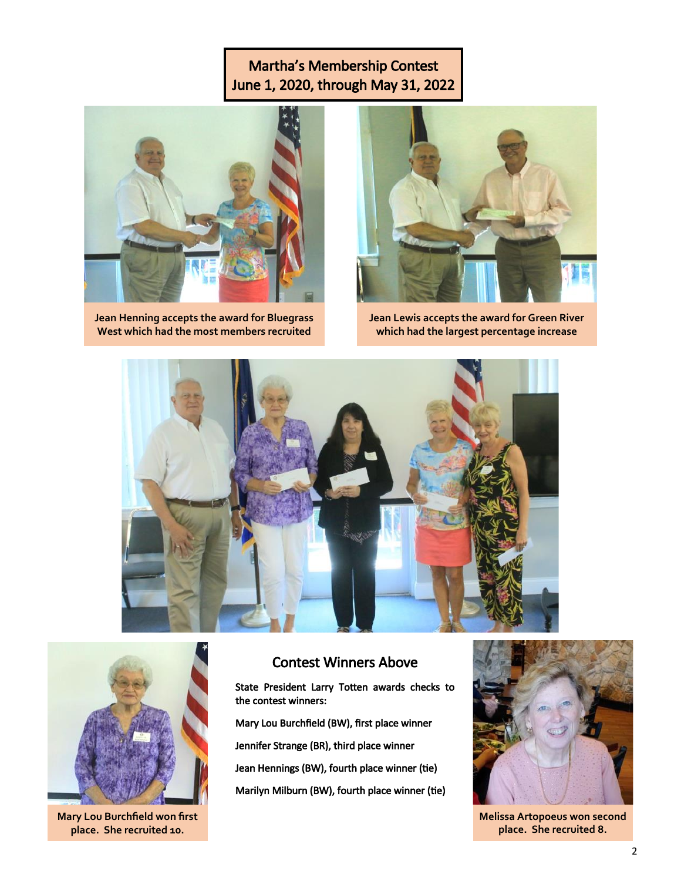# Martha's Membership Contest June 1, 2020, through May 31, 2022



**Jean Henning accepts the award for Bluegrass West which had the most members recruited**



**Jean Lewis accepts the award for Green River which had the largest percentage increase**





**Mary Lou Burchfield won first place. She recruited 10.** 

## Contest Winners Above

State President Larry Totten awards checks to the contest winners:

Mary Lou Burchfield (BW), first place winner Jennifer Strange (BR), third place winner Jean Hennings (BW), fourth place winner (tie) Marilyn Milburn (BW), fourth place winner (tie)



**Melissa Artopoeus won second place. She recruited 8.**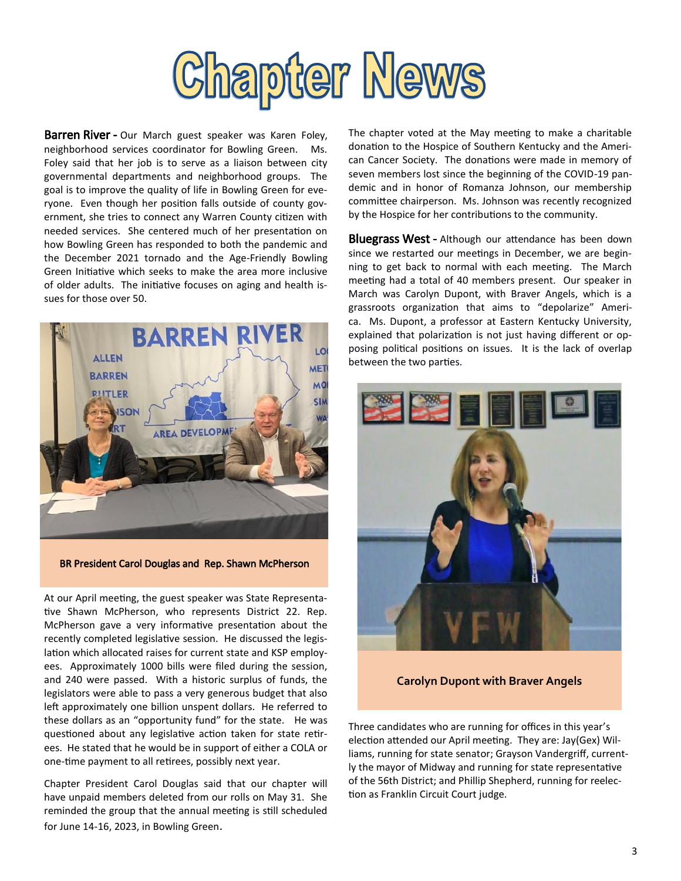

Barren River - Our March guest speaker was Karen Foley, neighborhood services coordinator for Bowling Green. Ms. Foley said that her job is to serve as a liaison between city governmental departments and neighborhood groups. The goal is to improve the quality of life in Bowling Green for everyone. Even though her position falls outside of county government, she tries to connect any Warren County citizen with needed services. She centered much of her presentation on how Bowling Green has responded to both the pandemic and the December 2021 tornado and the Age-Friendly Bowling Green Initiative which seeks to make the area more inclusive of older adults. The initiative focuses on aging and health issues for those over 50.



BR President Carol Douglas and Rep. Shawn McPherson

At our April meeting, the guest speaker was State Representative Shawn McPherson, who represents District 22. Rep. McPherson gave a very informative presentation about the recently completed legislative session. He discussed the legislation which allocated raises for current state and KSP employees. Approximately 1000 bills were filed during the session, and 240 were passed. With a historic surplus of funds, the legislators were able to pass a very generous budget that also left approximately one billion unspent dollars. He referred to these dollars as an "opportunity fund" for the state. He was questioned about any legislative action taken for state retirees. He stated that he would be in support of either a COLA or one-time payment to all retirees, possibly next year.

Chapter President Carol Douglas said that our chapter will have unpaid members deleted from our rolls on May 31. She reminded the group that the annual meeting is still scheduled for June 14-16, 2023, in Bowling Green.

The chapter voted at the May meeting to make a charitable donation to the Hospice of Southern Kentucky and the American Cancer Society. The donations were made in memory of seven members lost since the beginning of the COVID-19 pandemic and in honor of Romanza Johnson, our membership committee chairperson. Ms. Johnson was recently recognized by the Hospice for her contributions to the community.

**Bluegrass West - Although our attendance has been down** since we restarted our meetings in December, we are beginning to get back to normal with each meeting. The March meeting had a total of 40 members present. Our speaker in March was Carolyn Dupont, with Braver Angels, which is a grassroots organization that aims to "depolarize" America. Ms. Dupont, a professor at Eastern Kentucky University, explained that polarization is not just having different or opposing political positions on issues. It is the lack of overlap between the two parties.



**Carolyn Dupont with Braver Angels**

Three candidates who are running for offices in this year's election attended our April meeting. They are: Jay(Gex) Williams, running for state senator; Grayson Vandergriff, currently the mayor of Midway and running for state representative of the 56th District; and Phillip Shepherd, running for reelection as Franklin Circuit Court judge.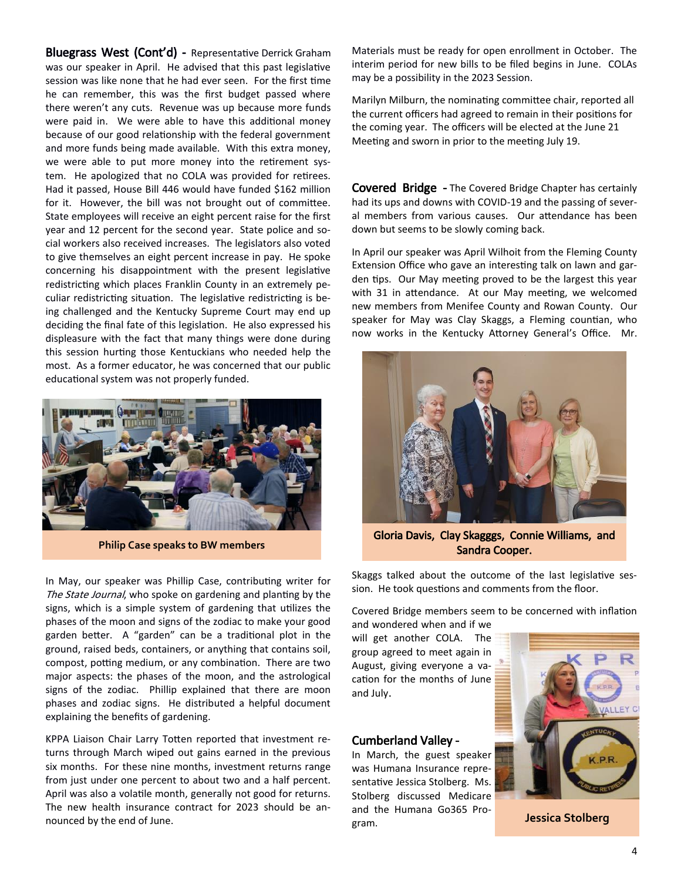Bluegrass West (Cont'd) - Representative Derrick Graham was our speaker in April. He advised that this past legislative session was like none that he had ever seen. For the first time he can remember, this was the first budget passed where there weren't any cuts. Revenue was up because more funds were paid in. We were able to have this additional money because of our good relationship with the federal government and more funds being made available. With this extra money, we were able to put more money into the retirement system. He apologized that no COLA was provided for retirees. Had it passed, House Bill 446 would have funded \$162 million for it. However, the bill was not brought out of committee. State employees will receive an eight percent raise for the first year and 12 percent for the second year. State police and social workers also received increases. The legislators also voted to give themselves an eight percent increase in pay. He spoke concerning his disappointment with the present legislative redistricting which places Franklin County in an extremely peculiar redistricting situation. The legislative redistricting is being challenged and the Kentucky Supreme Court may end up deciding the final fate of this legislation. He also expressed his displeasure with the fact that many things were done during this session hurting those Kentuckians who needed help the most. As a former educator, he was concerned that our public educational system was not properly funded.



**Philip Case speaks to BW members**

In May, our speaker was Phillip Case, contributing writer for The State Journal, who spoke on gardening and planting by the signs, which is a simple system of gardening that utilizes the phases of the moon and signs of the zodiac to make your good garden better. A "garden" can be a traditional plot in the ground, raised beds, containers, or anything that contains soil, compost, potting medium, or any combination. There are two major aspects: the phases of the moon, and the astrological signs of the zodiac. Phillip explained that there are moon phases and zodiac signs. He distributed a helpful document explaining the benefits of gardening.

KPPA Liaison Chair Larry Totten reported that investment returns through March wiped out gains earned in the previous six months. For these nine months, investment returns range from just under one percent to about two and a half percent. April was also a volatile month, generally not good for returns. The new health insurance contract for 2023 should be announced by the end of June.

Materials must be ready for open enrollment in October. The interim period for new bills to be filed begins in June. COLAs may be a possibility in the 2023 Session.

Marilyn Milburn, the nominating committee chair, reported all the current officers had agreed to remain in their positions for the coming year. The officers will be elected at the June 21 Meeting and sworn in prior to the meeting July 19.

Covered Bridge - The Covered Bridge Chapter has certainly had its ups and downs with COVID-19 and the passing of several members from various causes. Our attendance has been down but seems to be slowly coming back.

In April our speaker was April Wilhoit from the Fleming County Extension Office who gave an interesting talk on lawn and garden tips. Our May meeting proved to be the largest this year with 31 in attendance. At our May meeting, we welcomed new members from Menifee County and Rowan County. Our speaker for May was Clay Skaggs, a Fleming countian, who now works in the Kentucky Attorney General's Office. Mr.



Gloria Davis, Clay Skagggs, Connie Williams, and Sandra Cooper.

Skaggs talked about the outcome of the last legislative session. He took questions and comments from the floor.

Covered Bridge members seem to be concerned with inflation

and wondered when and if we will get another COLA. The group agreed to meet again in August, giving everyone a vacation for the months of June and July.

#### Cumberland Valley -

In March, the guest speaker was Humana Insurance representative Jessica Stolberg. Ms. Stolberg discussed Medicare and the Humana Go365 Program.



**Jessica Stolberg**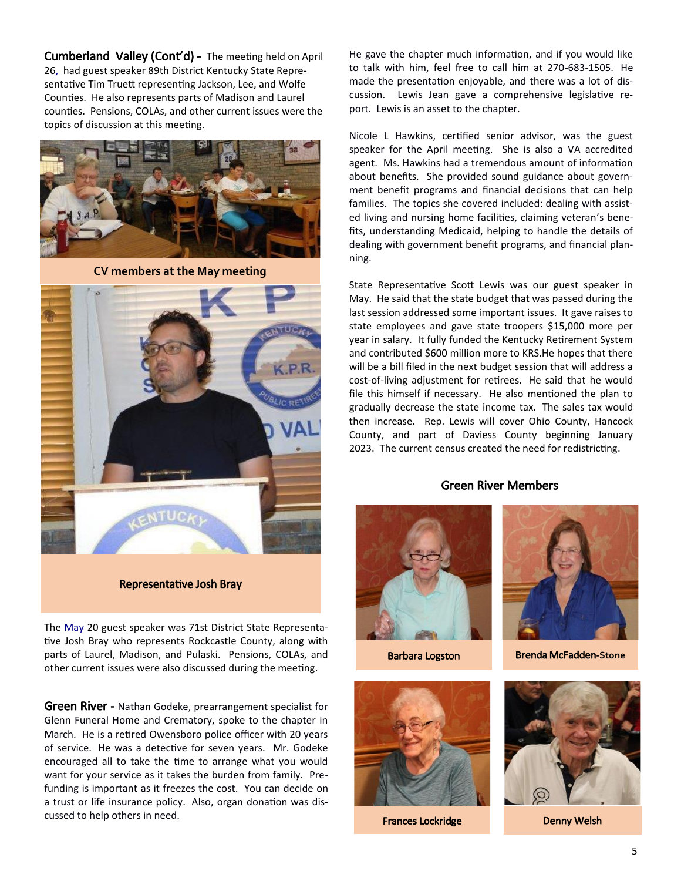Cumberland Valley (Cont'd) - The meeting held on April 26, had guest speaker 89th District Kentucky State Representative Tim Truett representing Jackson, Lee, and Wolfe Counties. He also represents parts of Madison and Laurel counties. Pensions, COLAs, and other current issues were the topics of discussion at this meeting.



**CV members at the May meeting**



Representative Josh Bray

The May 20 guest speaker was 71st District State Representative Josh Bray who represents Rockcastle County, along with parts of Laurel, Madison, and Pulaski. Pensions, COLAs, and other current issues were also discussed during the meeting.

Green River - Nathan Godeke, prearrangement specialist for Glenn Funeral Home and Crematory, spoke to the chapter in March. He is a retired Owensboro police officer with 20 years of service. He was a detective for seven years. Mr. Godeke encouraged all to take the time to arrange what you would want for your service as it takes the burden from family. Prefunding is important as it freezes the cost. You can decide on a trust or life insurance policy. Also, organ donation was discussed to help others in need.

He gave the chapter much information, and if you would like to talk with him, feel free to call him at 270-683-1505. He made the presentation enjoyable, and there was a lot of discussion. Lewis Jean gave a comprehensive legislative report. Lewis is an asset to the chapter.

Nicole L Hawkins, certified senior advisor, was the guest speaker for the April meeting. She is also a VA accredited agent. Ms. Hawkins had a tremendous amount of information about benefits. She provided sound guidance about government benefit programs and financial decisions that can help families. The topics she covered included: dealing with assisted living and nursing home facilities, claiming veteran's benefits, understanding Medicaid, helping to handle the details of dealing with government benefit programs, and financial planning.

State Representative Scott Lewis was our guest speaker in May. He said that the state budget that was passed during the last session addressed some important issues. It gave raises to state employees and gave state troopers \$15,000 more per year in salary. It fully funded the Kentucky Retirement System and contributed \$600 million more to KRS.He hopes that there will be a bill filed in the next budget session that will address a cost-of-living adjustment for retirees. He said that he would file this himself if necessary. He also mentioned the plan to gradually decrease the state income tax. The sales tax would then increase. Rep. Lewis will cover Ohio County, Hancock County, and part of Daviess County beginning January 2023. The current census created the need for redistricting.

#### Green River Members





Frances Lockridge **Denny Welsh** 



Barbara Logston Brenda McFadden**-Stone**

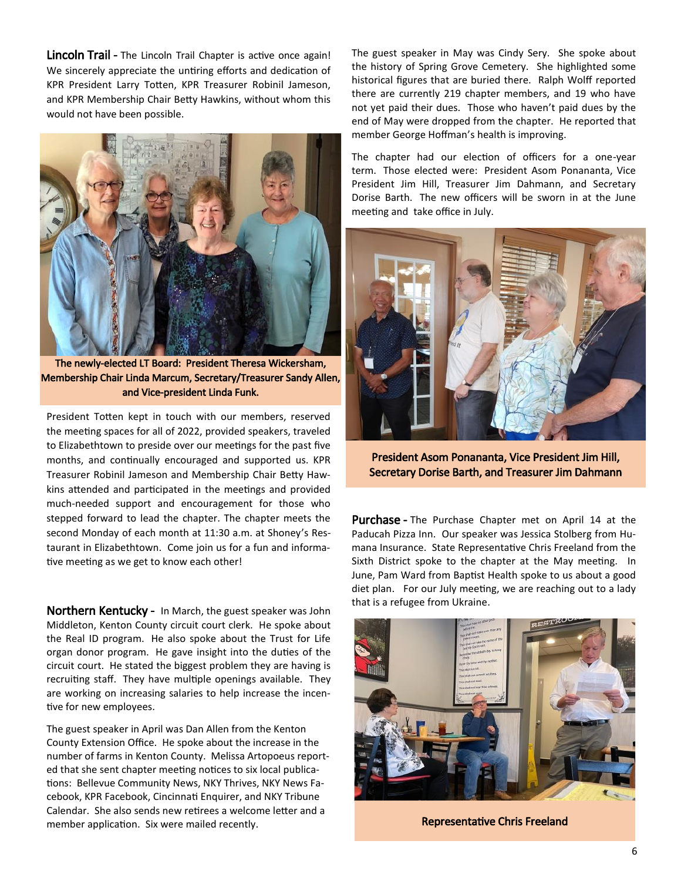Lincoln Trail - The Lincoln Trail Chapter is active once again! We sincerely appreciate the untiring efforts and dedication of KPR President Larry Totten, KPR Treasurer Robinil Jameson, and KPR Membership Chair Betty Hawkins, without whom this would not have been possible.



The newly-elected LT Board: President Theresa Wickersham, Membership Chair Linda Marcum, Secretary/Treasurer Sandy Allen, and Vice-president Linda Funk.

President Totten kept in touch with our members, reserved the meeting spaces for all of 2022, provided speakers, traveled to Elizabethtown to preside over our meetings for the past five months, and continually encouraged and supported us. KPR Treasurer Robinil Jameson and Membership Chair Betty Hawkins attended and participated in the meetings and provided much-needed support and encouragement for those who stepped forward to lead the chapter. The chapter meets the second Monday of each month at 11:30 a.m. at Shoney's Restaurant in Elizabethtown. Come join us for a fun and informative meeting as we get to know each other!

Northern Kentucky - In March, the guest speaker was John Middleton, Kenton County circuit court clerk. He spoke about the Real ID program. He also spoke about the Trust for Life organ donor program. He gave insight into the duties of the circuit court. He stated the biggest problem they are having is recruiting staff. They have multiple openings available. They are working on increasing salaries to help increase the incentive for new employees.

The guest speaker in April was Dan Allen from the Kenton County Extension Office. He spoke about the increase in the number of farms in Kenton County. Melissa Artopoeus reported that she sent chapter meeting notices to six local publications: Bellevue Community News, NKY Thrives, NKY News Facebook, KPR Facebook, Cincinnati Enquirer, and NKY Tribune Calendar. She also sends new retirees a welcome letter and a member application. Six were mailed recently.

The guest speaker in May was Cindy Sery. She spoke about the history of Spring Grove Cemetery. She highlighted some historical figures that are buried there. Ralph Wolff reported there are currently 219 chapter members, and 19 who have not yet paid their dues. Those who haven't paid dues by the end of May were dropped from the chapter. He reported that member George Hoffman's health is improving.

The chapter had our election of officers for a one-year term. Those elected were: President Asom Ponananta, Vice President Jim Hill, Treasurer Jim Dahmann, and Secretary Dorise Barth. The new officers will be sworn in at the June meeting and take office in July.



President Asom Ponananta, Vice President Jim Hill, Secretary Dorise Barth, and Treasurer Jim Dahmann

Purchase - The Purchase Chapter met on April 14 at the Paducah Pizza Inn. Our speaker was Jessica Stolberg from Humana Insurance. State Representative Chris Freeland from the Sixth District spoke to the chapter at the May meeting. In June, Pam Ward from Baptist Health spoke to us about a good diet plan. For our July meeting, we are reaching out to a lady that is a refugee from Ukraine.



Representative Chris Freeland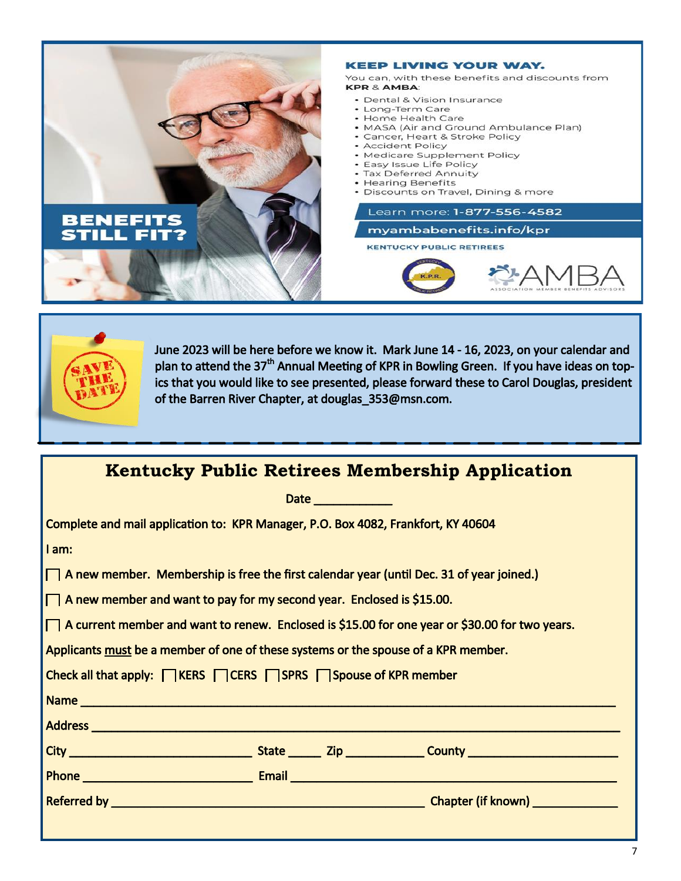



June 2023 will be here before we know it. Mark June 14 - 16, 2023, on your calendar and plan to attend the 37<sup>th</sup> Annual Meeting of KPR in Bowling Green. If you have ideas on topics that you would like to see presented, please forward these to Carol Douglas, president of the Barren River Chapter, at douglas\_353@msn.com.

| <b>Kentucky Public Retirees Membership Application</b>                                           |  |  |  |  |  |  |
|--------------------------------------------------------------------------------------------------|--|--|--|--|--|--|
| Date ___________                                                                                 |  |  |  |  |  |  |
| Complete and mail application to: KPR Manager, P.O. Box 4082, Frankfort, KY 40604                |  |  |  |  |  |  |
| I am:                                                                                            |  |  |  |  |  |  |
| $\Box$ A new member. Membership is free the first calendar year (until Dec. 31 of year joined.)  |  |  |  |  |  |  |
| $\Box$ A new member and want to pay for my second year. Enclosed is \$15.00.                     |  |  |  |  |  |  |
| □ A current member and want to renew. Enclosed is \$15.00 for one year or \$30.00 for two years. |  |  |  |  |  |  |
| Applicants must be a member of one of these systems or the spouse of a KPR member.               |  |  |  |  |  |  |
| Check all that apply: <b>NERS</b> CERS NSPRS Napouse of KPR member                               |  |  |  |  |  |  |
|                                                                                                  |  |  |  |  |  |  |
|                                                                                                  |  |  |  |  |  |  |
|                                                                                                  |  |  |  |  |  |  |
|                                                                                                  |  |  |  |  |  |  |
|                                                                                                  |  |  |  |  |  |  |